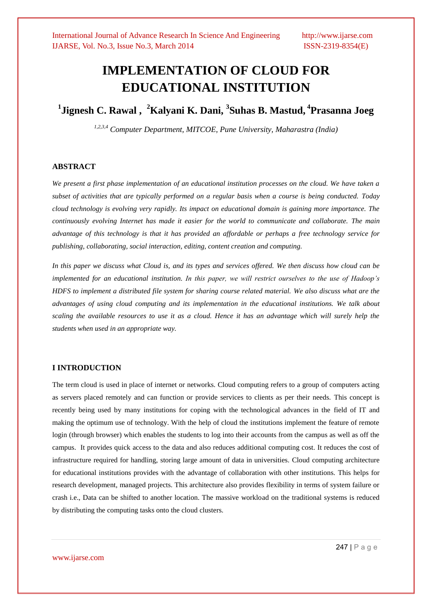# **IMPLEMENTATION OF CLOUD FOR EDUCATIONAL INSTITUTION**

**1 Jignesh C. Rawal , <sup>2</sup>Kalyani K. Dani, 3 Suhas B. Mastud, 4 Prasanna Joeg**

*1,2,3,4 Computer Department, MITCOE, Pune University, Maharastra (India)*

# **ABSTRACT**

*We present a first phase implementation of an educational institution processes on the cloud. We have taken a subset of activities that are typically performed on a regular basis when a course is being conducted. Today cloud technology is evolving very rapidly. Its impact on educational domain is gaining more importance. The continuously evolving Internet has made it easier for the world to communicate and collaborate. The main advantage of this technology is that it has provided an affordable or perhaps a free technology service for publishing, collaborating, social interaction, editing, content creation and computing.*

In this paper we discuss what Cloud is, and its types and services offered. We then discuss how cloud can be *implemented for an educational institution. In this paper, we will restrict ourselves to the use of Hadoop's HDFS to implement a distributed file system for sharing course related material. We also discuss what are the advantages of using cloud computing and its implementation in the educational institutions. We talk about scaling the available resources to use it as a cloud. Hence it has an advantage which will surely help the students when used in an appropriate way.*

# **I INTRODUCTION**

The term cloud is used in place of internet or networks. Cloud computing refers to a group of computers acting as servers placed remotely and can function or provide services to clients as per their needs. This concept is recently being used by many institutions for coping with the technological advances in the field of IT and making the optimum use of technology. With the help of cloud the institutions implement the feature of remote login (through browser) which enables the students to log into their accounts from the campus as well as off the campus. It provides quick access to the data and also reduces additional computing cost. It reduces the cost of infrastructure required for handling, storing large amount of data in universities. Cloud computing architecture for educational institutions provides with the advantage of collaboration with other institutions. This helps for research development, managed projects. This architecture also provides flexibility in terms of system failure or crash i.e., Data can be shifted to another location. The massive workload on the traditional systems is reduced by distributing the computing tasks onto the cloud clusters.

www.ijarse.com

247 | P a g e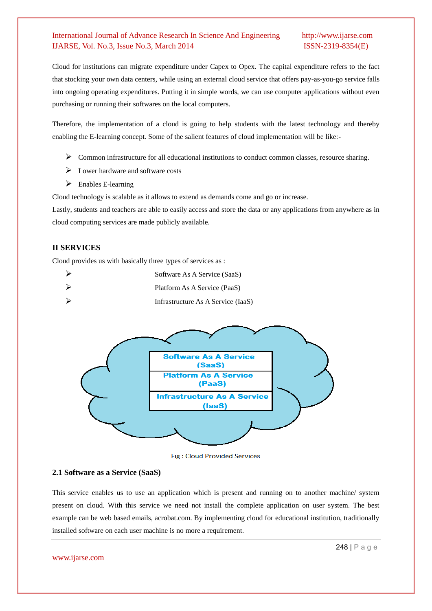Cloud for institutions can migrate expenditure under Capex to Opex. The capital expenditure refers to the fact that stocking your own data centers, while using an external cloud service that offers pay-as-you-go service falls into ongoing operating expenditures. Putting it in simple words, we can use computer applications without even purchasing or running their softwares on the local computers.

Therefore, the implementation of a cloud is going to help students with the latest technology and thereby enabling the E-learning concept. Some of the salient features of cloud implementation will be like:-

- $\triangleright$  Common infrastructure for all educational institutions to conduct common classes, resource sharing.
- $\triangleright$  Lower hardware and software costs
- $\triangleright$  Enables E-learning

Cloud technology is scalable as it allows to extend as demands come and go or increase.

Lastly, students and teachers are able to easily access and store the data or any applications from anywhere as in cloud computing services are made publicly available.

# **II SERVICES**

Cloud provides us with basically three types of services as :

| Software As A Service (SaaS)       |
|------------------------------------|
| Platform As A Service (PaaS)       |
| Infrastructure As A Service (IaaS) |



**Fig: Cloud Provided Services** 

# **2.1 Software as a Service (SaaS)**

This service enables us to use an application which is present and running on to another machine/ system present on cloud. With this service we need not install the complete application on user system. The best example can be web based emails, acrobat.com. By implementing cloud for educational institution, traditionally installed software on each user machine is no more a requirement.

#### www.ijarse.com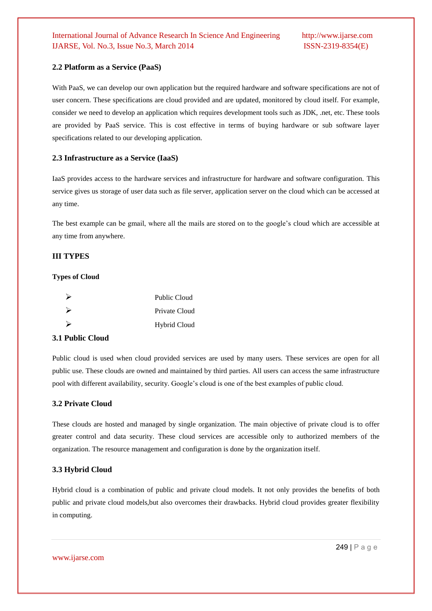# **2.2 Platform as a Service (PaaS)**

With PaaS, we can develop our own application but the required hardware and software specifications are not of user concern. These specifications are cloud provided and are updated, monitored by cloud itself. For example, consider we need to develop an application which requires development tools such as JDK, .net, etc. These tools are provided by PaaS service. This is cost effective in terms of buying hardware or sub software layer specifications related to our developing application.

# **2.3 Infrastructure as a Service (IaaS)**

IaaS provides access to the hardware services and infrastructure for hardware and software configuration. This service gives us storage of user data such as file server, application server on the cloud which can be accessed at any time.

The best example can be gmail, where all the mails are stored on to the google's cloud which are accessible at any time from anywhere.

# **III TYPES**

### **Types of Cloud**

|   | Public Cloud  |
|---|---------------|
|   | Private Cloud |
| ↘ | Hybrid Cloud  |

# **3.1 Public Cloud**

Public cloud is used when cloud provided services are used by many users. These services are open for all public use. These clouds are owned and maintained by third parties. All users can access the same infrastructure pool with different availability, security. Google's cloud is one of the best examples of public cloud.

# **3.2 Private Cloud**

These clouds are hosted and managed by single organization. The main objective of private cloud is to offer greater control and data security. These cloud services are accessible only to authorized members of the organization. The resource management and configuration is done by the organization itself.

### **3.3 Hybrid Cloud**

Hybrid cloud is a combination of public and private cloud models. It not only provides the benefits of both public and private cloud models,but also overcomes their drawbacks. Hybrid cloud provides greater flexibility in computing.

www.ijarse.com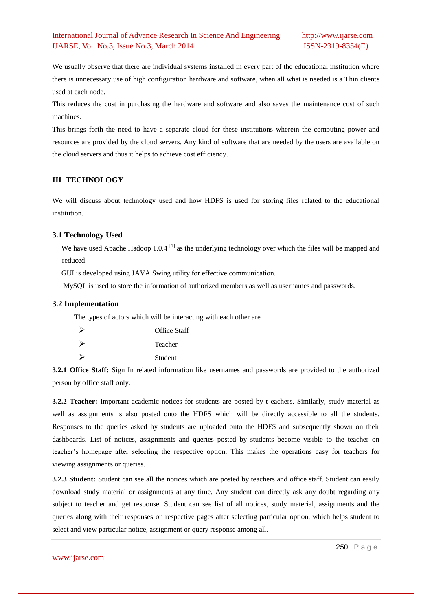We usually observe that there are individual systems installed in every part of the educational institution where there is unnecessary use of high configuration hardware and software, when all what is needed is a Thin clients used at each node.

This reduces the cost in purchasing the hardware and software and also saves the maintenance cost of such machines.

This brings forth the need to have a separate cloud for these institutions wherein the computing power and resources are provided by the cloud servers. Any kind of software that are needed by the users are available on the cloud servers and thus it helps to achieve cost efficiency.

# **III TECHNOLOGY**

We will discuss about technology used and how HDFS is used for storing files related to the educational institution.

# **3.1 Technology Used**

We have used Apache Hadoop 1.0.4 <sup>[1]</sup> as the underlying technology over which the files will be mapped and reduced.

GUI is developed using JAVA Swing utility for effective communication.

MySQL is used to store the information of authorized members as well as usernames and passwords.

#### **3.2 Implementation**

The types of actors which will be interacting with each other are

|   | <b>Office Staff</b> |
|---|---------------------|
|   | Teacher             |
| ↘ | Student             |

**3.2.1 Office Staff:** Sign In related information like usernames and passwords are provided to the authorized person by office staff only.

**3.2.2 Teacher:** Important academic notices for students are posted by t eachers. Similarly, study material as well as assignments is also posted onto the HDFS which will be directly accessible to all the students. Responses to the queries asked by students are uploaded onto the HDFS and subsequently shown on their dashboards. List of notices, assignments and queries posted by students become visible to the teacher on teacher's homepage after selecting the respective option. This makes the operations easy for teachers for viewing assignments or queries.

**3.2.3 Student:** Student can see all the notices which are posted by teachers and office staff. Student can easily download study material or assignments at any time. Any student can directly ask any doubt regarding any subject to teacher and get response. Student can see list of all notices, study material, assignments and the queries along with their responses on respective pages after selecting particular option, which helps student to select and view particular notice, assignment or query response among all.

#### www.ijarse.com

250 | P a g e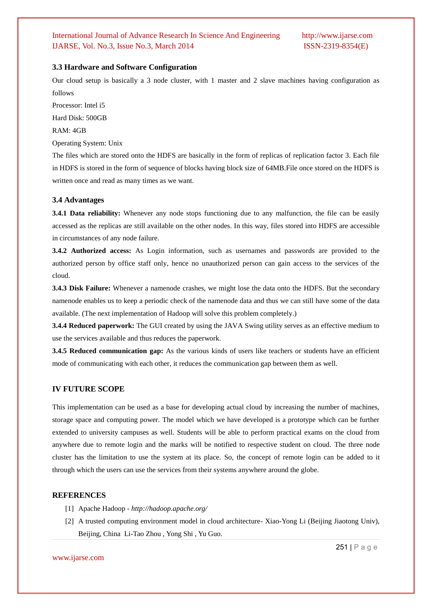# **3.3 Hardware and Software Configuration**

Our cloud setup is basically a 3 node cluster, with 1 master and 2 slave machines having configuration as follows

Processor: Intel i5 Hard Disk: 500GB

RAM: 4GB

Operating System: Unix

The files which are stored onto the HDFS are basically in the form of replicas of replication factor 3. Each file in HDFS is stored in the form of sequence of blocks having block size of 64MB.File once stored on the HDFS is written once and read as many times as we want.

# **3.4 Advantages**

**3.4.1 Data reliability:** Whenever any node stops functioning due to any malfunction, the file can be easily accessed as the replicas are still available on the other nodes. In this way, files stored into HDFS are accessible in circumstances of any node failure.

**3.4.2 Authorized access:** As Login information, such as usernames and passwords are provided to the authorized person by office staff only, hence no unauthorized person can gain access to the services of the cloud.

**3.4.3 Disk Failure:** Whenever a namenode crashes, we might lose the data onto the HDFS. But the secondary namenode enables us to keep a periodic check of the namenode data and thus we can still have some of the data available. (The next implementation of Hadoop will solve this problem completely.)

**3.4.4 Reduced paperwork:** The GUI created by using the JAVA Swing utility serves as an effective medium to use the services available and thus reduces the paperwork.

**3.4.5 Reduced communication gap:** As the various kinds of users like teachers or students have an efficient mode of communicating with each other, it reduces the communication gap between them as well.

## **IV FUTURE SCOPE**

This implementation can be used as a base for developing actual cloud by increasing the number of machines, storage space and computing power. The model which we have developed is a prototype which can be further extended to university campuses as well. Students will be able to perform practical exams on the cloud from anywhere due to remote login and the marks will be notified to respective student on cloud. The three node cluster has the limitation to use the system at its place. So, the concept of remote login can be added to it through which the users can use the services from their systems anywhere around the globe.

# **REFERENCES**

- [1] Apache Hadoop *http://hadoop.apache.org/*
- [2] A trusted computing environment model in cloud architecture- Xiao-Yong Li (Beijing Jiaotong Univ), Beijing, China Li-Tao Zhou , Yong Shi , Yu Guo.